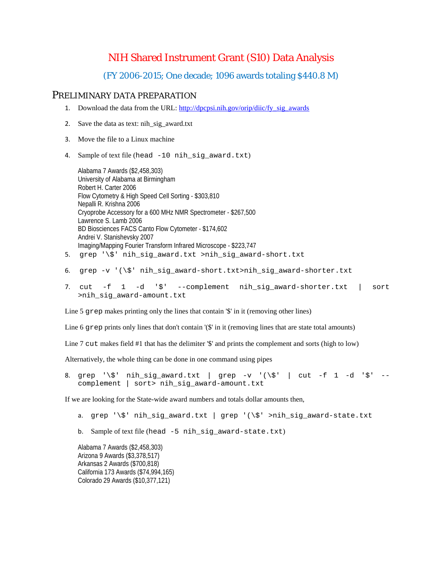# NIH Shared Instrument Grant (S10) Data Analysis

#### (FY 2006-2015; One decade; 1096 awards totaling \$440.8 M)

#### PRELIMINARY DATA PREPARATION

- 1. Download the data from the URL: [http://dpcpsi.nih.gov/orip/diic/fy\\_sig\\_awards](http://dpcpsi.nih.gov/orip/diic/fy_sig_awards)
- 2. Save the data as text: nih\_sig\_award.txt
- 3. Move the file to a Linux machine
- 4. Sample of text file (head -10 nih\_sig\_award.txt)

Alabama 7 Awards (\$2,458,303) University of Alabama at Birmingham Robert H. Carter 2006 Flow Cytometry & High Speed Cell Sorting - \$303,810 Nepalli R. Krishna 2006 Cryoprobe Accessory for a 600 MHz NMR Spectrometer - \$267,500 Lawrence S. Lamb 2006 BD Biosciences FACS Canto Flow Cytometer - \$174,602 Andrei V. Stanishevsky 2007 Imaging/Mapping Fourier Transform Infrared Microscope - \$223,747 5. grep '\\$' nih\_sig\_award.txt >nih\_sig\_award-short.txt

- 6. grep -v '( $\S$ ' nih sig award-short.txt>nih sig award-shorter.txt
- 7. cut -f 1 -d '\$' --complement nih\_sig\_award-shorter.txt | sort >nih\_sig\_award-amount.txt

Line 5 grep makes printing only the lines that contain '\$' in it (removing other lines)

Line 6 grep prints only lines that don't contain '( $\mathcal{S}'$  in it (removing lines that are state total amounts)

Line 7 cut makes field #1 that has the delimiter '\$' and prints the complement and sorts (high to low)

Alternatively, the whole thing can be done in one command using pipes

8. grep '\\$' nih\_sig\_award.txt | grep -v '(\\$' | cut -f 1 -d '\$' -complement | sort> nih\_sig\_award-amount.txt

If we are looking for the State-wide award numbers and totals dollar amounts then,

- a. grep '\\$' nih\_sig\_award.txt | grep '(\\$' >nih\_sig\_award-state.txt
- b. Sample of text file (head -5 nih\_sig\_award-state.txt)

Alabama 7 Awards (\$2,458,303) Arizona 9 Awards (\$3,378,517) Arkansas 2 Awards (\$700,818) California 173 Awards (\$74,994,165) Colorado 29 Awards (\$10,377,121)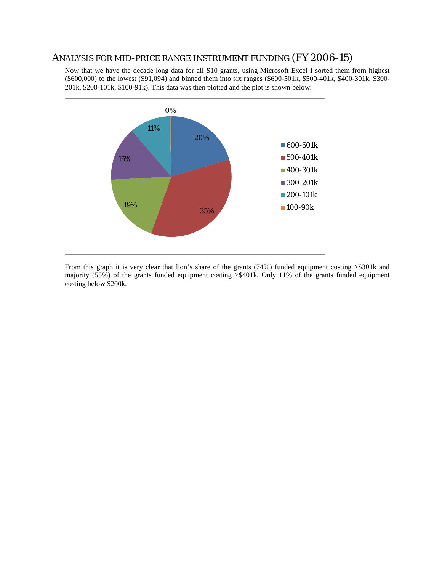## ANALYSIS FOR MID-PRICE RANGE INSTRUMENT FUNDING (FY 2006-15)

Now that we have the decade long data for all S10 grants, using Microsoft Excel I sorted them from highest (\$600,000) to the lowest (\$91,094) and binned them into six ranges (\$600-501k, \$500-401k, \$400-301k, \$300- 201k, \$200-101k, \$100-91k). This data was then plotted and the plot is shown below:



From this graph it is very clear that lion's share of the grants (74%) funded equipment costing >\$301k and majority (55%) of the grants funded equipment costing >\$401k. Only 11% of the grants funded equipment costing below \$200k.